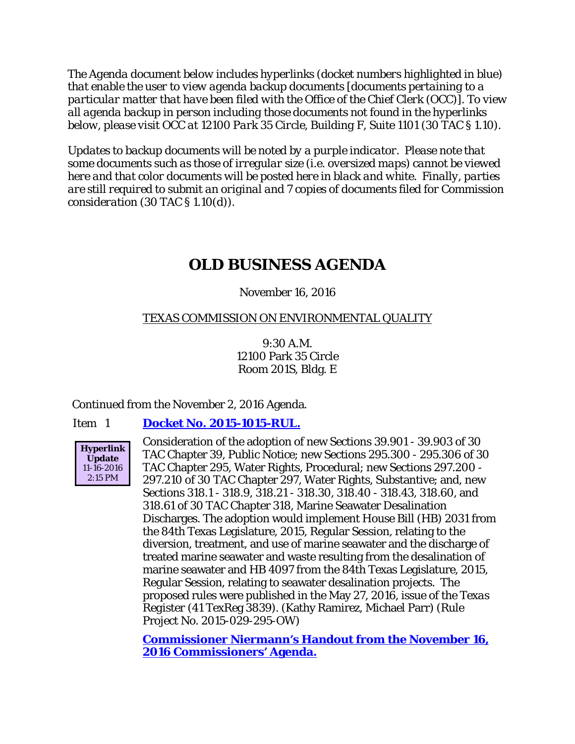*The Agenda document below includes hyperlinks (docket numbers highlighted in blue) that enable the user to view agenda backup documents [documents pertaining to a particular matter that have been filed with the Office of the Chief Clerk (OCC)]. To view all agenda backup in person including those documents not found in the hyperlinks below, please visit OCC at 12100 Park 35 Circle, Building F, Suite 1101 (30 TAC § 1.10).*

*Updates to backup documents will be noted by a purple indicator. Please note that some documents such as those of irregular size (i.e. oversized maps) cannot be viewed here and that color documents will be posted here in black and white. Finally, parties are still required to submit an original and 7 copies of documents filed for Commission consideration (30 TAC § 1.10(d)).*

## **OLD BUSINESS AGENDA**

## November 16, 2016

## TEXAS COMMISSION ON ENVIRONMENTAL QUALITY

9:30 A.M. 12100 Park 35 Circle Room 201S, Bldg. E

Continued from the November 2, 2016 Agenda.

#### Item 1 **[Docket No. 2015-1015-RUL.](http://www.tceq.texas.gov/assets/public/comm_exec/agendas/comm/backup/Agendas/2016/11-16-2016/1015RUL.pdf)**



Consideration of the adoption of new Sections 39.901 - 39.903 of 30 TAC Chapter 39, Public Notice; new Sections 295.300 - 295.306 of 30 TAC Chapter 295, Water Rights, Procedural; new Sections 297.200 - 297.210 of 30 TAC Chapter 297, Water Rights, Substantive; and, new Sections 318.1 - 318.9, 318.21 - 318.30, 318.40 - 318.43, 318.60, and 318.61 of 30 TAC Chapter 318, Marine Seawater Desalination Discharges. The adoption would implement House Bill (HB) 2031 from the 84th Texas Legislature, 2015, Regular Session, relating to the diversion, treatment, and use of marine seawater and the discharge of treated marine seawater and waste resulting from the desalination of marine seawater and HB 4097 from the 84th Texas Legislature, 2015, Regular Session, relating to seawater desalination projects. The proposed rules were published in the May 27, 2016, issue of the *Texas Register* (41 TexReg 3839). (Kathy Ramirez, Michael Parr) (Rule Project No. 2015-029-295-OW)

**[Commissioner Niermann's Handout from the November 16,](http://www.tceq.texas.gov/assets/public/comm_exec/agendas/comm/backup/Agendas/2016/11-16-2016/1015RUL%20-%20Handout%20from%2011-16-2016%20Commissioners)  [2016 Commissioners' Agenda.](http://www.tceq.texas.gov/assets/public/comm_exec/agendas/comm/backup/Agendas/2016/11-16-2016/1015RUL%20-%20Handout%20from%2011-16-2016%20Commissioners)**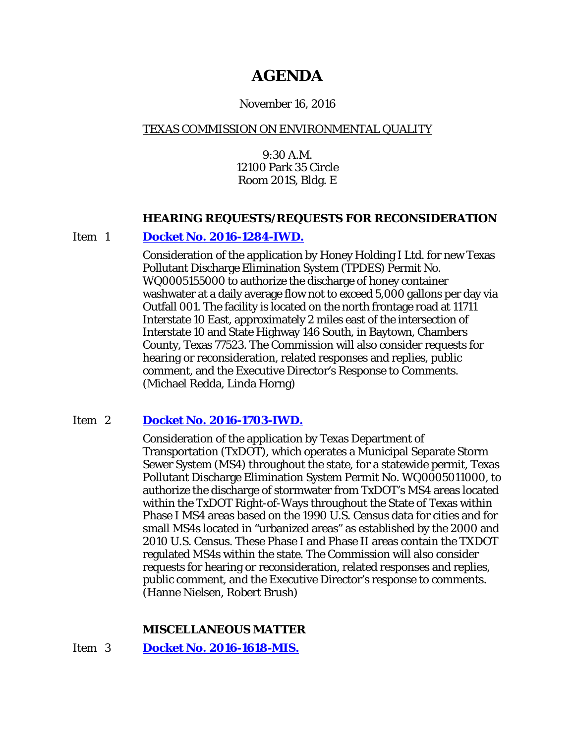# **AGENDA**

### November 16, 2016

## TEXAS COMMISSION ON ENVIRONMENTAL QUALITY

9:30 A.M. 12100 Park 35 Circle Room 201S, Bldg. E

#### **HEARING REQUESTS/REQUESTS FOR RECONSIDERATION**

#### Item 1 **[Docket No. 2016-1284-IWD.](http://www.tceq.texas.gov/assets/public/comm_exec/agendas/comm/backup/Agendas/2016/11-16-2016/honey.pdf)**

Consideration of the application by Honey Holding I Ltd. for new Texas Pollutant Discharge Elimination System (TPDES) Permit No. WQ0005155000 to authorize the discharge of honey container washwater at a daily average flow not to exceed 5,000 gallons per day via Outfall 001. The facility is located on the north frontage road at 11711 Interstate 10 East, approximately 2 miles east of the intersection of Interstate 10 and State Highway 146 South, in Baytown, Chambers County, Texas 77523. The Commission will also consider requests for hearing or reconsideration, related responses and replies, public comment, and the Executive Director's Response to Comments. (Michael Redda, Linda Horng)

## Item 2 **[Docket No. 2016-1703-IWD.](http://www.tceq.texas.gov/assets/public/comm_exec/agendas/comm/backup/Agendas/2016/11-16-2016/txdot.pdf)**

Consideration of the application by Texas Department of Transportation (TxDOT), which operates a Municipal Separate Storm Sewer System (MS4) throughout the state, for a statewide permit, Texas Pollutant Discharge Elimination System Permit No. WQ0005011000, to authorize the discharge of stormwater from TxDOT's MS4 areas located within the TxDOT Right-of-Ways throughout the State of Texas within Phase I MS4 areas based on the 1990 U.S. Census data for cities and for small MS4s located in "urbanized areas" as established by the 2000 and 2010 U.S. Census. These Phase I and Phase II areas contain the TXDOT regulated MS4s within the state. The Commission will also consider requests for hearing or reconsideration, related responses and replies, public comment, and the Executive Director's response to comments. (Hanne Nielsen, Robert Brush)

## **MISCELLANEOUS MATTER**

#### Item 3 **[Docket No. 2016-1618-MIS.](http://www.tceq.texas.gov/assets/public/comm_exec/agendas/comm/backup/Agendas/2016/11-16-2016/1618MIS.pdf)**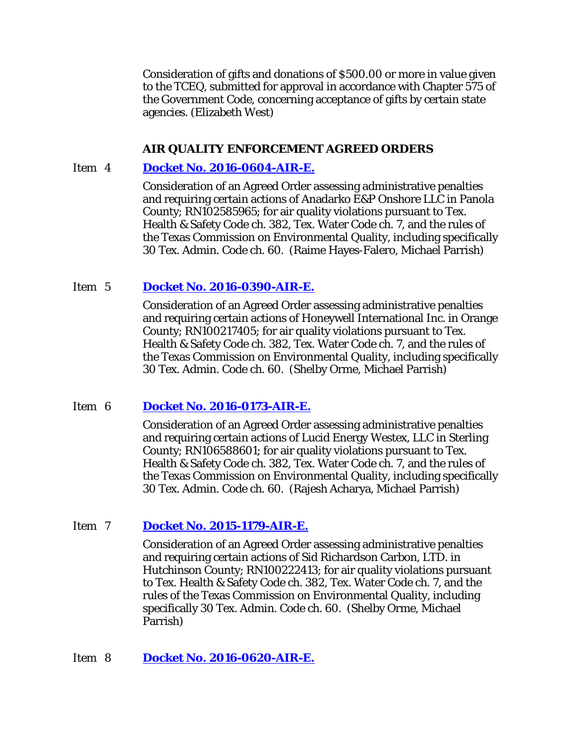Consideration of gifts and donations of \$500.00 or more in value given to the TCEQ, submitted for approval in accordance with Chapter 575 of the Government Code, concerning acceptance of gifts by certain state agencies. (Elizabeth West)

### **AIR QUALITY ENFORCEMENT AGREED ORDERS**

### Item 4 **[Docket No. 2016-0604-AIR-E.](http://www.tceq.texas.gov/assets/public/comm_exec/agendas/comm/backup/Agendas/2016/11-16-2016/0604AIR.pdf)**

Consideration of an Agreed Order assessing administrative penalties and requiring certain actions of Anadarko E&P Onshore LLC in Panola County; RN102585965; for air quality violations pursuant to Tex. Health & Safety Code ch. 382, Tex. Water Code ch. 7, and the rules of the Texas Commission on Environmental Quality, including specifically 30 Tex. Admin. Code ch. 60. (Raime Hayes-Falero, Michael Parrish)

## Item 5 **[Docket No. 2016-0390-AIR-E.](http://www.tceq.texas.gov/assets/public/comm_exec/agendas/comm/backup/Agendas/2016/11-16-2016/0390AIR.pdf)**

Consideration of an Agreed Order assessing administrative penalties and requiring certain actions of Honeywell International Inc. in Orange County; RN100217405; for air quality violations pursuant to Tex. Health & Safety Code ch. 382, Tex. Water Code ch. 7, and the rules of the Texas Commission on Environmental Quality, including specifically 30 Tex. Admin. Code ch. 60. (Shelby Orme, Michael Parrish)

#### Item 6 **[Docket No. 2016-0173-AIR-E.](http://www.tceq.texas.gov/assets/public/comm_exec/agendas/comm/backup/Agendas/2016/11-16-2016/0173AIR.pdf)**

Consideration of an Agreed Order assessing administrative penalties and requiring certain actions of Lucid Energy Westex, LLC in Sterling County; RN106588601; for air quality violations pursuant to Tex. Health & Safety Code ch. 382, Tex. Water Code ch. 7, and the rules of the Texas Commission on Environmental Quality, including specifically 30 Tex. Admin. Code ch. 60. (Rajesh Acharya, Michael Parrish)

#### Item 7 **[Docket No. 2015-1179-AIR-E.](http://www.tceq.texas.gov/assets/public/comm_exec/agendas/comm/backup/Agendas/2016/11-16-2016/1179AIR.pdf)**

Consideration of an Agreed Order assessing administrative penalties and requiring certain actions of Sid Richardson Carbon, LTD. in Hutchinson County; RN100222413; for air quality violations pursuant to Tex. Health & Safety Code ch. 382, Tex. Water Code ch. 7, and the rules of the Texas Commission on Environmental Quality, including specifically 30 Tex. Admin. Code ch. 60. (Shelby Orme, Michael Parrish)

#### Item 8 **[Docket No. 2016-0620-AIR-E.](http://www.tceq.texas.gov/assets/public/comm_exec/agendas/comm/backup/Agendas/2016/11-16-2016/0620AIR.pdf)**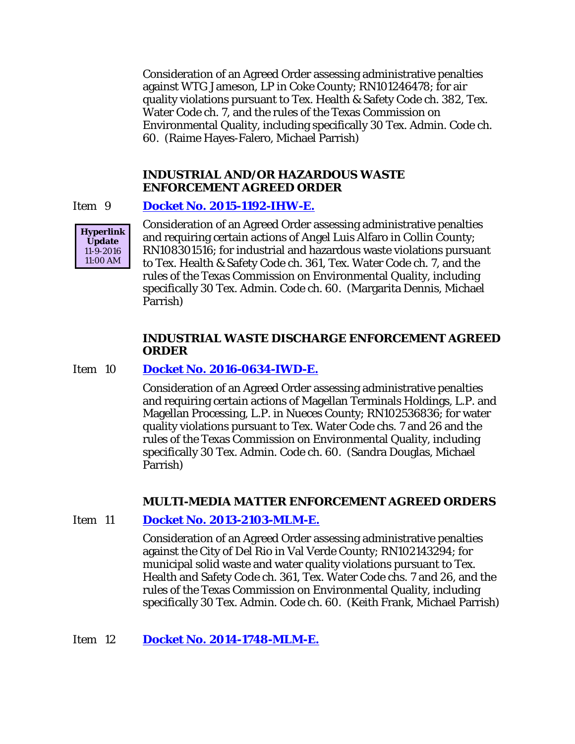Consideration of an Agreed Order assessing administrative penalties against WTG Jameson, LP in Coke County; RN101246478; for air quality violations pursuant to Tex. Health & Safety Code ch. 382, Tex. Water Code ch. 7, and the rules of the Texas Commission on Environmental Quality, including specifically 30 Tex. Admin. Code ch. 60. (Raime Hayes-Falero, Michael Parrish)

#### **INDUSTRIAL AND/OR HAZARDOUS WASTE ENFORCEMENT AGREED ORDER**

#### Item 9 **[Docket No. 2015-1192-IHW-E.](http://www.tceq.texas.gov/assets/public/comm_exec/agendas/comm/backup/Agendas/2016/11-16-2016/1192IHW.pdf)**



Consideration of an Agreed Order assessing administrative penalties and requiring certain actions of Angel Luis Alfaro in Collin County; RN108301516; for industrial and hazardous waste violations pursuant to Tex. Health & Safety Code ch. 361, Tex. Water Code ch. 7, and the rules of the Texas Commission on Environmental Quality, including specifically 30 Tex. Admin. Code ch. 60. (Margarita Dennis, Michael Parrish)

### **INDUSTRIAL WASTE DISCHARGE ENFORCEMENT AGREED ORDER**

#### Item 10 **[Docket No. 2016-0634-IWD-E.](http://www.tceq.texas.gov/assets/public/comm_exec/agendas/comm/backup/Agendas/2016/11-16-2016/0634IWD.pdf)**

Consideration of an Agreed Order assessing administrative penalties and requiring certain actions of Magellan Terminals Holdings, L.P. and Magellan Processing, L.P. in Nueces County; RN102536836; for water quality violations pursuant to Tex. Water Code chs. 7 and 26 and the rules of the Texas Commission on Environmental Quality, including specifically 30 Tex. Admin. Code ch. 60. (Sandra Douglas, Michael Parrish)

#### **MULTI-MEDIA MATTER ENFORCEMENT AGREED ORDERS**

#### Item 11 **[Docket No. 2013-2103-MLM-E.](http://www.tceq.texas.gov/assets/public/comm_exec/agendas/comm/backup/Agendas/2016/11-16-2016/2103MLM.pdf)**

Consideration of an Agreed Order assessing administrative penalties against the City of Del Rio in Val Verde County; RN102143294; for municipal solid waste and water quality violations pursuant to Tex. Health and Safety Code ch. 361, Tex. Water Code chs. 7 and 26, and the rules of the Texas Commission on Environmental Quality, including specifically 30 Tex. Admin. Code ch. 60. (Keith Frank, Michael Parrish)

#### Item 12 **[Docket No. 2014-1748-MLM-E.](http://www.tceq.texas.gov/assets/public/comm_exec/agendas/comm/backup/Agendas/2016/11-16-2016/1748MLM.pdf)**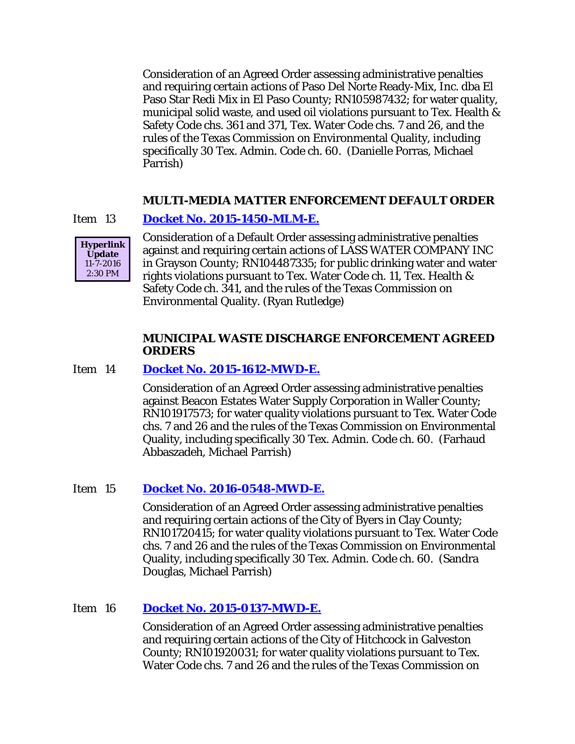Consideration of an Agreed Order assessing administrative penalties and requiring certain actions of Paso Del Norte Ready-Mix, Inc. dba El Paso Star Redi Mix in El Paso County; RN105987432; for water quality, municipal solid waste, and used oil violations pursuant to Tex. Health & Safety Code chs. 361 and 371, Tex. Water Code chs. 7 and 26, and the rules of the Texas Commission on Environmental Quality, including specifically 30 Tex. Admin. Code ch. 60. (Danielle Porras, Michael Parrish)

#### **MULTI-MEDIA MATTER ENFORCEMENT DEFAULT ORDER**

#### Item 13 **[Docket No. 2015-1450-MLM-E.](http://www.tceq.texas.gov/assets/public/comm_exec/agendas/comm/backup/Agendas/2016/11-16-2016/1450MLM.pdf)**



Consideration of a Default Order assessing administrative penalties against and requiring certain actions of LASS WATER COMPANY INC in Grayson County; RN104487335; for public drinking water and water rights violations pursuant to Tex. Water Code ch. 11, Tex. Health & Safety Code ch. 341, and the rules of the Texas Commission on Environmental Quality. (Ryan Rutledge)

### **MUNICIPAL WASTE DISCHARGE ENFORCEMENT AGREED ORDERS**

#### Item 14 **[Docket No. 2015-1612-MWD-E.](http://www.tceq.texas.gov/assets/public/comm_exec/agendas/comm/backup/Agendas/2016/11-16-2016/1612MWD.pdf)**

Consideration of an Agreed Order assessing administrative penalties against Beacon Estates Water Supply Corporation in Waller County; RN101917573; for water quality violations pursuant to Tex. Water Code chs. 7 and 26 and the rules of the Texas Commission on Environmental Quality, including specifically 30 Tex. Admin. Code ch. 60. (Farhaud Abbaszadeh, Michael Parrish)

#### Item 15 **[Docket No. 2016-0548-MWD-E.](http://www.tceq.texas.gov/assets/public/comm_exec/agendas/comm/backup/Agendas/2016/11-16-2016/0548MWD.pdf)**

Consideration of an Agreed Order assessing administrative penalties and requiring certain actions of the City of Byers in Clay County; RN101720415; for water quality violations pursuant to Tex. Water Code chs. 7 and 26 and the rules of the Texas Commission on Environmental Quality, including specifically 30 Tex. Admin. Code ch. 60. (Sandra Douglas, Michael Parrish)

#### Item 16 **[Docket No. 2015-0137-MWD-E.](http://www.tceq.texas.gov/assets/public/comm_exec/agendas/comm/backup/Agendas/2016/11-16-2016/0137MWD.pdf)**

Consideration of an Agreed Order assessing administrative penalties and requiring certain actions of the City of Hitchcock in Galveston County; RN101920031; for water quality violations pursuant to Tex. Water Code chs. 7 and 26 and the rules of the Texas Commission on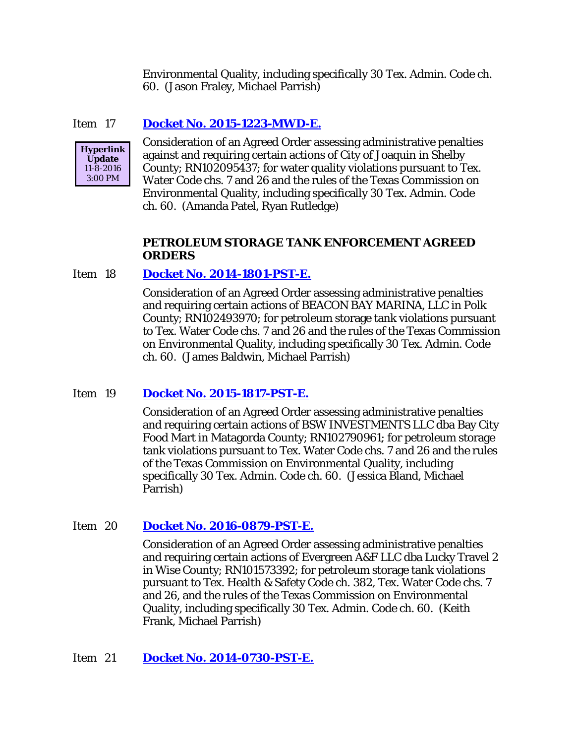Environmental Quality, including specifically 30 Tex. Admin. Code ch. 60. (Jason Fraley, Michael Parrish)

### Item 17 **[Docket No. 2015-1223-MWD-E.](http://www.tceq.texas.gov/assets/public/comm_exec/agendas/comm/backup/Agendas/2016/11-16-2016/1223MWD.pdf)**



Consideration of an Agreed Order assessing administrative penalties against and requiring certain actions of City of Joaquin in Shelby County; RN102095437; for water quality violations pursuant to Tex. Water Code chs. 7 and 26 and the rules of the Texas Commission on Environmental Quality, including specifically 30 Tex. Admin. Code ch. 60. (Amanda Patel, Ryan Rutledge)

### **PETROLEUM STORAGE TANK ENFORCEMENT AGREED ORDERS**

#### Item 18 **[Docket No. 2014-1801-PST-E.](http://www.tceq.texas.gov/assets/public/comm_exec/agendas/comm/backup/Agendas/2016/11-16-2016/1801PST.pdf)**

Consideration of an Agreed Order assessing administrative penalties and requiring certain actions of BEACON BAY MARINA, LLC in Polk County; RN102493970; for petroleum storage tank violations pursuant to Tex. Water Code chs. 7 and 26 and the rules of the Texas Commission on Environmental Quality, including specifically 30 Tex. Admin. Code ch. 60. (James Baldwin, Michael Parrish)

#### Item 19 **[Docket No. 2015-1817-PST-E.](http://www.tceq.texas.gov/assets/public/comm_exec/agendas/comm/backup/Agendas/2016/11-16-2016/1817PST.pdf)**

Consideration of an Agreed Order assessing administrative penalties and requiring certain actions of BSW INVESTMENTS LLC dba Bay City Food Mart in Matagorda County; RN102790961; for petroleum storage tank violations pursuant to Tex. Water Code chs. 7 and 26 and the rules of the Texas Commission on Environmental Quality, including specifically 30 Tex. Admin. Code ch. 60. (Jessica Bland, Michael Parrish)

#### Item 20 **[Docket No. 2016-0879-PST-E.](http://www.tceq.texas.gov/assets/public/comm_exec/agendas/comm/backup/Agendas/2016/11-16-2016/0879PST.pdf)**

Consideration of an Agreed Order assessing administrative penalties and requiring certain actions of Evergreen A&F LLC dba Lucky Travel 2 in Wise County; RN101573392; for petroleum storage tank violations pursuant to Tex. Health & Safety Code ch. 382, Tex. Water Code chs. 7 and 26, and the rules of the Texas Commission on Environmental Quality, including specifically 30 Tex. Admin. Code ch. 60. (Keith Frank, Michael Parrish)

#### Item 21 **[Docket No. 2014-0730-PST-E.](http://www.tceq.texas.gov/assets/public/comm_exec/agendas/comm/backup/Agendas/2016/11-16-2016/0730PST.pdf)**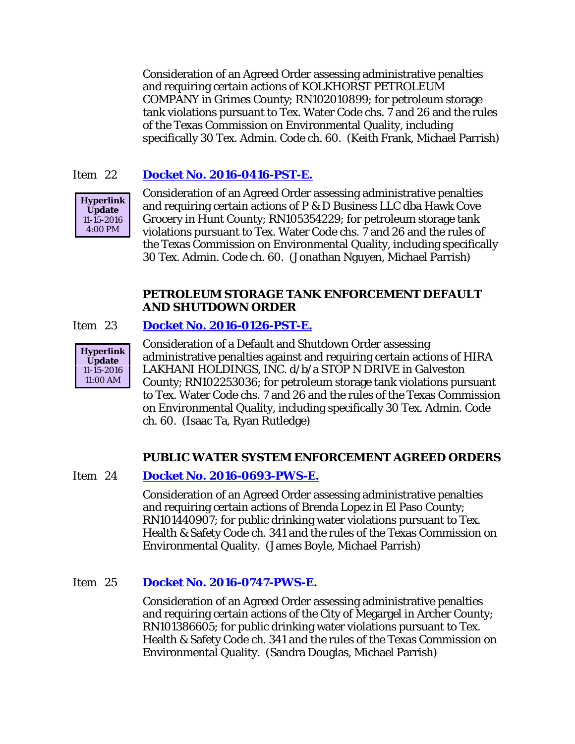Consideration of an Agreed Order assessing administrative penalties and requiring certain actions of KOLKHORST PETROLEUM COMPANY in Grimes County; RN102010899; for petroleum storage tank violations pursuant to Tex. Water Code chs. 7 and 26 and the rules of the Texas Commission on Environmental Quality, including specifically 30 Tex. Admin. Code ch. 60. (Keith Frank, Michael Parrish)

## Item 22 **[Docket No. 2016-0416-PST-E.](http://www.tceq.texas.gov/assets/public/comm_exec/agendas/comm/backup/Agendas/2016/11-16-2016/0416PST.pdf)**



Consideration of an Agreed Order assessing administrative penalties and requiring certain actions of P & D Business LLC dba Hawk Cove Grocery in Hunt County; RN105354229; for petroleum storage tank violations pursuant to Tex. Water Code chs. 7 and 26 and the rules of the Texas Commission on Environmental Quality, including specifically 30 Tex. Admin. Code ch. 60. (Jonathan Nguyen, Michael Parrish)

#### **PETROLEUM STORAGE TANK ENFORCEMENT DEFAULT AND SHUTDOWN ORDER**

#### Item 23 **[Docket No. 2016-0126-PST-E.](http://www.tceq.texas.gov/assets/public/comm_exec/agendas/comm/backup/Agendas/2016/11-16-2016/0126PST.pdf)**



Consideration of a Default and Shutdown Order assessing administrative penalties against and requiring certain actions of HIRA LAKHANI HOLDINGS, INC. d/b/a STOP N DRIVE in Galveston County; RN102253036; for petroleum storage tank violations pursuant to Tex. Water Code chs. 7 and 26 and the rules of the Texas Commission on Environmental Quality, including specifically 30 Tex. Admin. Code ch. 60. (Isaac Ta, Ryan Rutledge)

## **PUBLIC WATER SYSTEM ENFORCEMENT AGREED ORDERS**

#### Item 24 **[Docket No. 2016-0693-PWS-E.](http://www.tceq.texas.gov/assets/public/comm_exec/agendas/comm/backup/Agendas/2016/11-16-2016/0693PWS.pdf)**

Consideration of an Agreed Order assessing administrative penalties and requiring certain actions of Brenda Lopez in El Paso County; RN101440907; for public drinking water violations pursuant to Tex. Health & Safety Code ch. 341 and the rules of the Texas Commission on Environmental Quality. (James Boyle, Michael Parrish)

## Item 25 **[Docket No. 2016-0747-PWS-E.](http://www.tceq.texas.gov/assets/public/comm_exec/agendas/comm/backup/Agendas/2016/11-16-2016/0747PWS.pdf)**

Consideration of an Agreed Order assessing administrative penalties and requiring certain actions of the City of Megargel in Archer County; RN101386605; for public drinking water violations pursuant to Tex. Health & Safety Code ch. 341 and the rules of the Texas Commission on Environmental Quality. (Sandra Douglas, Michael Parrish)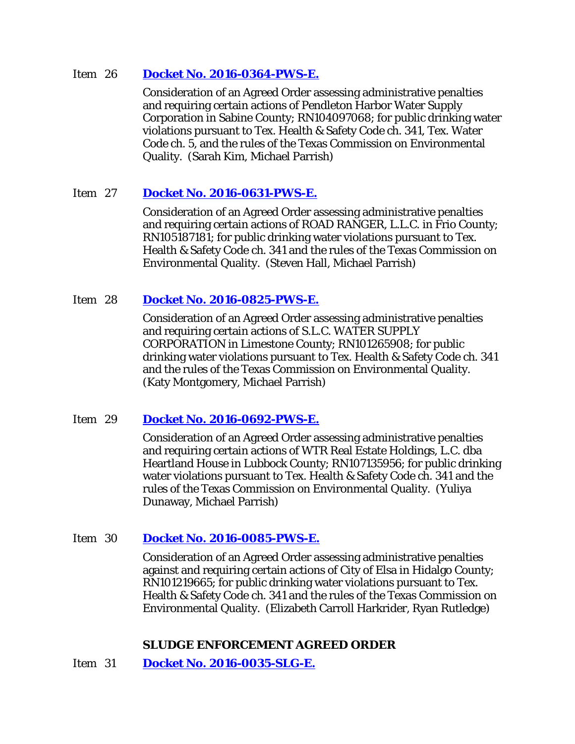#### Item 26 **[Docket No. 2016-0364-PWS-E.](http://www.tceq.texas.gov/assets/public/comm_exec/agendas/comm/backup/Agendas/2016/11-16-2016/0364PWS.pdf)**

Consideration of an Agreed Order assessing administrative penalties and requiring certain actions of Pendleton Harbor Water Supply Corporation in Sabine County; RN104097068; for public drinking water violations pursuant to Tex. Health & Safety Code ch. 341, Tex. Water Code ch. 5, and the rules of the Texas Commission on Environmental Quality. (Sarah Kim, Michael Parrish)

## Item 27 **[Docket No. 2016-0631-PWS-E.](http://www.tceq.texas.gov/assets/public/comm_exec/agendas/comm/backup/Agendas/2016/11-16-2016/0631PWS.pdf)**

Consideration of an Agreed Order assessing administrative penalties and requiring certain actions of ROAD RANGER, L.L.C. in Frio County; RN105187181; for public drinking water violations pursuant to Tex. Health & Safety Code ch. 341 and the rules of the Texas Commission on Environmental Quality. (Steven Hall, Michael Parrish)

## Item 28 **[Docket No. 2016-0825-PWS-E.](http://www.tceq.texas.gov/assets/public/comm_exec/agendas/comm/backup/Agendas/2016/11-16-2016/0825PWS.pdf)**

Consideration of an Agreed Order assessing administrative penalties and requiring certain actions of S.L.C. WATER SUPPLY CORPORATION in Limestone County; RN101265908; for public drinking water violations pursuant to Tex. Health & Safety Code ch. 341 and the rules of the Texas Commission on Environmental Quality. (Katy Montgomery, Michael Parrish)

#### Item 29 **[Docket No. 2016-0692-PWS-E.](http://www.tceq.texas.gov/assets/public/comm_exec/agendas/comm/backup/Agendas/2016/11-16-2016/0692PWS.pdf)**

Consideration of an Agreed Order assessing administrative penalties and requiring certain actions of WTR Real Estate Holdings, L.C. dba Heartland House in Lubbock County; RN107135956; for public drinking water violations pursuant to Tex. Health & Safety Code ch. 341 and the rules of the Texas Commission on Environmental Quality. (Yuliya Dunaway, Michael Parrish)

#### Item 30 **[Docket No. 2016-0085-PWS-E.](http://www.tceq.texas.gov/assets/public/comm_exec/agendas/comm/backup/Agendas/2016/11-16-2016/0085PWS.pdf)**

Consideration of an Agreed Order assessing administrative penalties against and requiring certain actions of City of Elsa in Hidalgo County; RN101219665; for public drinking water violations pursuant to Tex. Health & Safety Code ch. 341 and the rules of the Texas Commission on Environmental Quality. (Elizabeth Carroll Harkrider, Ryan Rutledge)

## **SLUDGE ENFORCEMENT AGREED ORDER**

Item 31 **[Docket No. 2016-0035-SLG-E.](http://www.tceq.texas.gov/assets/public/comm_exec/agendas/comm/backup/Agendas/2016/11-16-2016/0035SLG.pdf)**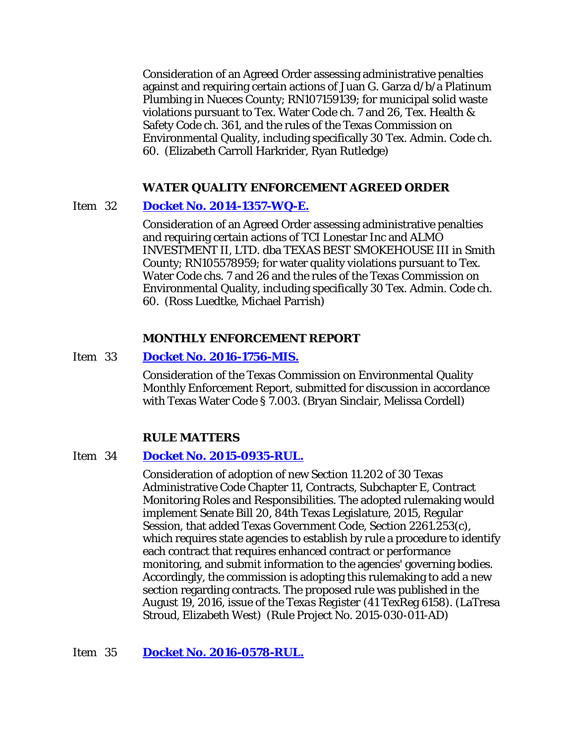Consideration of an Agreed Order assessing administrative penalties against and requiring certain actions of Juan G. Garza d/b/a Platinum Plumbing in Nueces County; RN107159139; for municipal solid waste violations pursuant to Tex. Water Code ch. 7 and 26, Tex. Health & Safety Code ch. 361, and the rules of the Texas Commission on Environmental Quality, including specifically 30 Tex. Admin. Code ch. 60. (Elizabeth Carroll Harkrider, Ryan Rutledge)

#### **WATER QUALITY ENFORCEMENT AGREED ORDER**

#### Item 32 **[Docket No. 2014-1357-WQ-E.](http://www.tceq.texas.gov/assets/public/comm_exec/agendas/comm/backup/Agendas/2016/11-16-2016/1357WQ.pdf)**

Consideration of an Agreed Order assessing administrative penalties and requiring certain actions of TCI Lonestar Inc and ALMO INVESTMENT II, LTD. dba TEXAS BEST SMOKEHOUSE III in Smith County; RN105578959; for water quality violations pursuant to Tex. Water Code chs. 7 and 26 and the rules of the Texas Commission on Environmental Quality, including specifically 30 Tex. Admin. Code ch. 60. (Ross Luedtke, Michael Parrish)

#### **MONTHLY ENFORCEMENT REPORT**

#### Item 33 **[Docket No. 2016-1756-MIS.](http://www.tceq.texas.gov/assets/public/comm_exec/agendas/comm/backup/Agendas/2016/11-16-2016/1756MIS.pdf)**

Consideration of the Texas Commission on Environmental Quality Monthly Enforcement Report, submitted for discussion in accordance with Texas Water Code § 7.003. (Bryan Sinclair, Melissa Cordell)

#### **RULE MATTERS**

#### Item 34 **[Docket No. 2015-0935-RUL.](http://www.tceq.texas.gov/assets/public/comm_exec/agendas/comm/backup/Agendas/2016/11-16-2016/0935RUL.pdf)**

Consideration of adoption of new Section 11.202 of 30 Texas Administrative Code Chapter 11, Contracts, Subchapter E, Contract Monitoring Roles and Responsibilities. The adopted rulemaking would implement Senate Bill 20, 84th Texas Legislature, 2015, Regular Session, that added Texas Government Code, Section 2261.253(c), which requires state agencies to establish by rule a procedure to identify each contract that requires enhanced contract or performance monitoring, and submit information to the agencies' governing bodies. Accordingly, the commission is adopting this rulemaking to add a new section regarding contracts. The proposed rule was published in the August 19, 2016, issue of the *Texas Register* (41 TexReg 6158). (LaTresa Stroud, Elizabeth West) (Rule Project No. 2015-030-011-AD)

Item 35 **[Docket No. 2016-0578-RUL.](http://www.tceq.texas.gov/assets/public/comm_exec/agendas/comm/backup/Agendas/2016/11-16-2016/0578RUL.pdf)**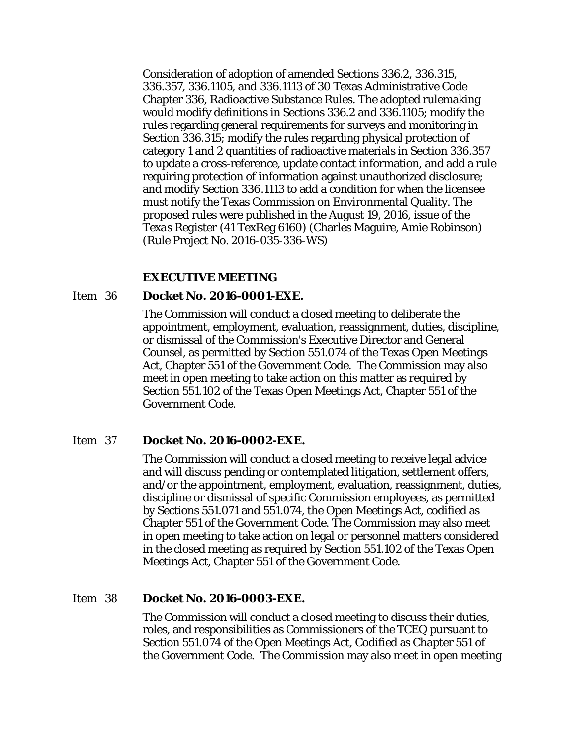Consideration of adoption of amended Sections 336.2, 336.315, 336.357, 336.1105, and 336.1113 of 30 Texas Administrative Code Chapter 336, Radioactive Substance Rules. The adopted rulemaking would modify definitions in Sections 336.2 and 336.1105; modify the rules regarding general requirements for surveys and monitoring in Section 336.315; modify the rules regarding physical protection of category 1 and 2 quantities of radioactive materials in Section 336.357 to update a cross-reference, update contact information, and add a rule requiring protection of information against unauthorized disclosure; and modify Section 336.1113 to add a condition for when the licensee must notify the Texas Commission on Environmental Quality. The proposed rules were published in the August 19, 2016, issue of the *Texas Register* (41 TexReg 6160) (Charles Maguire, Amie Robinson) (Rule Project No. 2016-035-336-WS)

#### **EXECUTIVE MEETING**

#### Item 36 **Docket No. 2016-0001-EXE.**

The Commission will conduct a closed meeting to deliberate the appointment, employment, evaluation, reassignment, duties, discipline, or dismissal of the Commission's Executive Director and General Counsel, as permitted by Section 551.074 of the Texas Open Meetings Act, Chapter 551 of the Government Code. The Commission may also meet in open meeting to take action on this matter as required by Section 551.102 of the Texas Open Meetings Act, Chapter 551 of the Government Code.

#### Item 37 **Docket No. 2016-0002-EXE.**

The Commission will conduct a closed meeting to receive legal advice and will discuss pending or contemplated litigation, settlement offers, and/or the appointment, employment, evaluation, reassignment, duties, discipline or dismissal of specific Commission employees, as permitted by Sections 551.071 and 551.074, the Open Meetings Act, codified as Chapter 551 of the Government Code. The Commission may also meet in open meeting to take action on legal or personnel matters considered in the closed meeting as required by Section 551.102 of the Texas Open Meetings Act, Chapter 551 of the Government Code.

#### Item 38 **Docket No. 2016-0003-EXE.**

The Commission will conduct a closed meeting to discuss their duties, roles, and responsibilities as Commissioners of the TCEQ pursuant to Section 551.074 of the Open Meetings Act, Codified as Chapter 551 of the Government Code. The Commission may also meet in open meeting